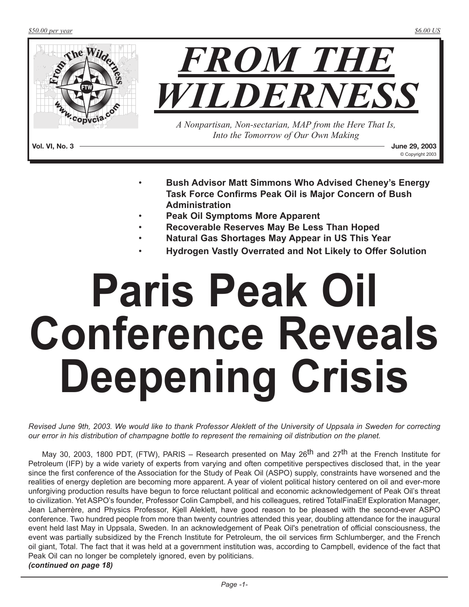*\$50.00 per year \$6.00 US*



© Copyright 2003

- **Bush Advisor Matt Simmons Who Advised Cheney's Energy Task Force Confirms Peak Oil is Major Concern of Bush Administration**
- **Peak Oil Symptoms More Apparent**
- **Recoverable Reserves May Be Less Than Hoped**
- **Natural Gas Shortages May Appear in US This Year**
- **Hydrogen Vastly Overrated and Not Likely to Offer Solution**

# **Paris Peak Oil Conference Reveals Deepening Crisis**

*Revised June 9th, 2003. We would like to thank Professor Aleklett of the University of Uppsala in Sweden for correcting our error in his distribution of champagne bottle to represent the remaining oil distribution on the planet.*

May 30, 2003, 1800 PDT, (FTW), PARIS – Research presented on May 26<sup>th</sup> and 27<sup>th</sup> at the French Institute for Petroleum (IFP) by a wide variety of experts from varying and often competitive perspectives disclosed that, in the year since the first conference of the Association for the Study of Peak Oil (ASPO) supply, constraints have worsened and the realities of energy depletion are becoming more apparent. A year of violent political history centered on oil and ever-more unforgiving production results have begun to force reluctant political and economic acknowledgement of Peak Oil's threat to civilization. Yet ASPO's founder, Professor Colin Campbell, and his colleagues, retired TotalFinaElf Exploration Manager, Jean Laherrère, and Physics Professor, Kjell Aleklett, have good reason to be pleased with the second-ever ASPO conference. Two hundred people from more than twenty countries attended this year, doubling attendance for the inaugural event held last May in Uppsala, Sweden. In an acknowledgement of Peak Oil's penetration of official consciousness, the event was partially subsidized by the French Institute for Petroleum, the oil services firm Schlumberger, and the French oil giant, Total. The fact that it was held at a government institution was, according to Campbell, evidence of the fact that Peak Oil can no longer be completely ignored, even by politicians. *(continued on page 18)*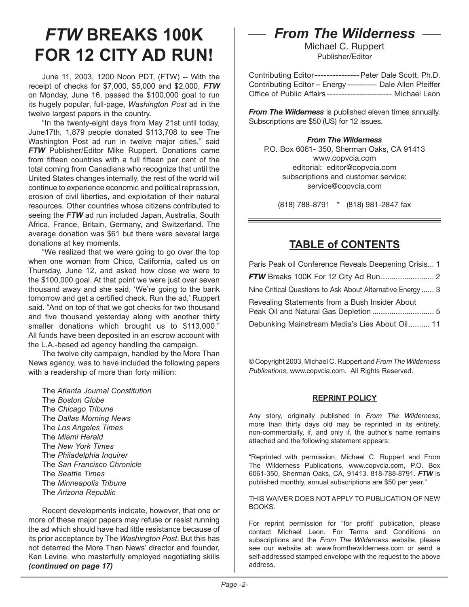## *FTW* **BREAKS 100K FOR 12 CITY AD RUN!**

June 11, 2003, 1200 Noon PDT, (FTW) -- With the receipt of checks for \$7,000, \$5,000 and \$2,000, *FTW* on Monday, June 16, passed the \$100,000 goal to run its hugely popular, full-page, *Washington Post* ad in the twelve largest papers in the country.

"In the twenty-eight days from May 21st until today, June17th, 1,879 people donated \$113,708 to see The Washington Post ad run in twelve major cities," said **FTW** Publisher/Editor Mike Ruppert. Donations came from fifteen countries with a full fifteen per cent of the total coming from Canadians who recognize that until the United States changes internally, the rest of the world will continue to experience economic and political repression, erosion of civil liberties, and exploitation of their natural resources. Other countries whose citizens contributed to seeing the *FTW* ad run included Japan, Australia, South Africa, France, Britain, Germany, and Switzerland. The average donation was \$61 but there were several large donations at key moments.

"We realized that we were going to go over the top when one woman from Chico, California, called us on Thursday, June 12, and asked how close we were to the \$100,000 goal. At that point we were just over seven thousand away and she said, 'We're going to the bank tomorrow and get a certified check. Run the ad,' Ruppert said. "And on top of that we got checks for two thousand and five thousand yesterday along with another thirty smaller donations which brought us to \$113,000." All funds have been deposited in an escrow account with the L.A.-based ad agency handling the campaign.

The twelve city campaign, handled by the More Than News agency, was to have included the following papers with a readership of more than forty million:

The *Atlanta Journal Constitution*  The *Boston Globe*  The *Chicago Tribune*  The *Dallas Morning News*  The *Los Angeles Times*  The *Miami Herald*  The *New York Times*  The *Philadelphia Inquirer*  The *San Francisco Chronicle*  The *Seattle Times*  The *Minneapolis Tribune* The *Arizona Republic*

Recent developments indicate, however, that one or more of these major papers may refuse or resist running the ad which should have had little resistance because of its prior acceptance by The *Washington Post*. But this has not deterred the More Than News' director and founder, Ken Levine, who masterfully employed negotiating skills *(continued on page 17)*

### *From The Wilderness*

Michael C. Ruppert Publisher/Editor

Contributing Editor--------------- Peter Dale Scott, Ph.D. Contributing Editor – Energy ---------- Dale Allen Pfeiffer Office of Public Affairs---------------------- Michael Leon

*From The Wilderness* is published eleven times annually. Subscriptions are \$50 (US) for 12 issues.

#### *From The Wilderness*

P.O. Box 6061- 350, Sherman Oaks, CA 91413 www.copvcia.com editorial: editor@copvcia.com subscriptions and customer service: service@copvcia.com

(818) 788-8791 \* (818) 981-2847 fax

### **TABLE of CONTENTS**

| Paris Peak oil Conference Reveals Deepening Crisis 1                                    |  |
|-----------------------------------------------------------------------------------------|--|
|                                                                                         |  |
| Nine Critical Questions to Ask About Alternative Energy 3                               |  |
| Revealing Statements from a Bush Insider About<br>Peak Oil and Natural Gas Depletion  5 |  |
| Debunking Mainstream Media's Lies About Oil 11                                          |  |

© Copyright 2003, Michael C. Ruppert and *From The Wilderness Publications*, www.copvcia.com. All Rights Reserved.

#### **REPRINT POLICY**

Any story, originally published in *From The Wilderness*, more than thirty days old may be reprinted in its entirety, non-commercially, if, and only if, the author's name remains attached and the following statement appears:

"Reprinted with permission, Michael C. Ruppert and From The Wilderness Publications, www.copvcia.com, P.O. Box 6061-350, Sherman Oaks, CA, 91413. 818-788-8791. *FTW* is published monthly, annual subscriptions are \$50 per year."

THIS WAIVER DOES NOT APPLY TO PUBLICATION OF NEW BOOKS.

For reprint permission for "for profit" publication, please contact Michael Leon. For Terms and Conditions on subscriptions and the *From The Wilderness* website, please see our website at: www.fromthewilderness.com or send a self-addressed stamped envelope with the request to the above address.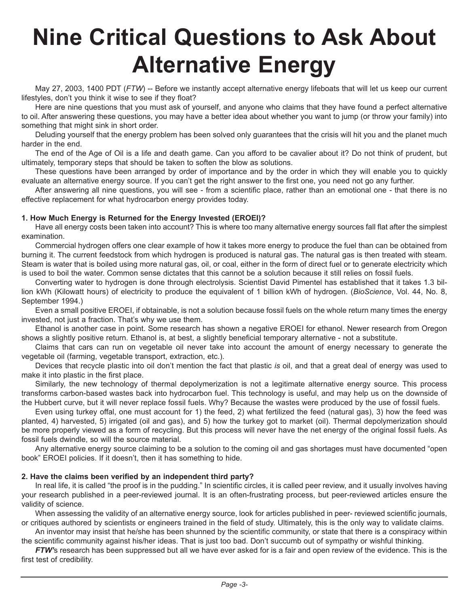# **Nine Critical Questions to Ask About Alternative Energy**

May 27, 2003, 1400 PDT (*FTW*) -- Before we instantly accept alternative energy lifeboats that will let us keep our current lifestyles, don't you think it wise to see if they float?

Here are nine questions that you must ask of yourself, and anyone who claims that they have found a perfect alternative to oil. After answering these questions, you may have a better idea about whether you want to jump (or throw your family) into something that might sink in short order.

Deluding yourself that the energy problem has been solved only guarantees that the crisis will hit you and the planet much harder in the end.

The end of the Age of Oil is a life and death game. Can you afford to be cavalier about it? Do not think of prudent, but ultimately, temporary steps that should be taken to soften the blow as solutions.

These questions have been arranged by order of importance and by the order in which they will enable you to quickly evaluate an alternative energy source. If you can't get the right answer to the first one, you need not go any further.

After answering all nine questions, you will see - from a scientific place, rather than an emotional one - that there is no effective replacement for what hydrocarbon energy provides today.

#### **1. How Much Energy is Returned for the Energy Invested (EROEI)?**

Have all energy costs been taken into account? This is where too many alternative energy sources fall flat after the simplest examination.

Commercial hydrogen offers one clear example of how it takes more energy to produce the fuel than can be obtained from burning it. The current feedstock from which hydrogen is produced is natural gas. The natural gas is then treated with steam. Steam is water that is boiled using more natural gas, oil, or coal, either in the form of direct fuel or to generate electricity which is used to boil the water. Common sense dictates that this cannot be a solution because it still relies on fossil fuels.

Converting water to hydrogen is done through electrolysis. Scientist David Pimentel has established that it takes 1.3 billion kWh (Kilowatt hours) of electricity to produce the equivalent of 1 billion kWh of hydrogen. (*BioScience*, Vol. 44, No. 8, September 1994.)

Even a small positive EROEI, if obtainable, is not a solution because fossil fuels on the whole return many times the energy invested, not just a fraction. That's why we use them.

Ethanol is another case in point. Some research has shown a negative EROEI for ethanol. Newer research from Oregon shows a slightly positive return. Ethanol is, at best, a slightly beneficial temporary alternative - not a substitute.

Claims that cars can run on vegetable oil never take into account the amount of energy necessary to generate the vegetable oil (farming, vegetable transport, extraction, etc.).

Devices that recycle plastic into oil don't mention the fact that plastic *is* oil, and that a great deal of energy was used to make it into plastic in the first place.

Similarly, the new technology of thermal depolymerization is not a legitimate alternative energy source. This process transforms carbon-based wastes back into hydrocarbon fuel. This technology is useful, and may help us on the downside of the Hubbert curve, but it will never replace fossil fuels. Why? Because the wastes were produced by the use of fossil fuels.

Even using turkey offal, one must account for 1) the feed, 2) what fertilized the feed (natural gas), 3) how the feed was planted, 4) harvested, 5) irrigated (oil and gas), and 5) how the turkey got to market (oil). Thermal depolymerization should be more properly viewed as a form of recycling. But this process will never have the net energy of the original fossil fuels. As fossil fuels dwindle, so will the source material.

Any alternative energy source claiming to be a solution to the coming oil and gas shortages must have documented "open book" EROEI policies. If it doesn't, then it has something to hide.

#### **2. Have the claims been verified by an independent third party?**

In real life, it is called "the proof is in the pudding." In scientific circles, it is called peer review, and it usually involves having your research published in a peer-reviewed journal. It is an often-frustrating process, but peer-reviewed articles ensure the validity of science.

When assessing the validity of an alternative energy source, look for articles published in peer- reviewed scientific journals, or critiques authored by scientists or engineers trained in the field of study. Ultimately, this is the only way to validate claims.

An inventor may insist that he/she has been shunned by the scientific community, or state that there is a conspiracy within the scientific community against his/her ideas. That is just too bad. Don't succumb out of sympathy or wishful thinking.

*FTW'*s research has been suppressed but all we have ever asked for is a fair and open review of the evidence. This is the first test of credibility.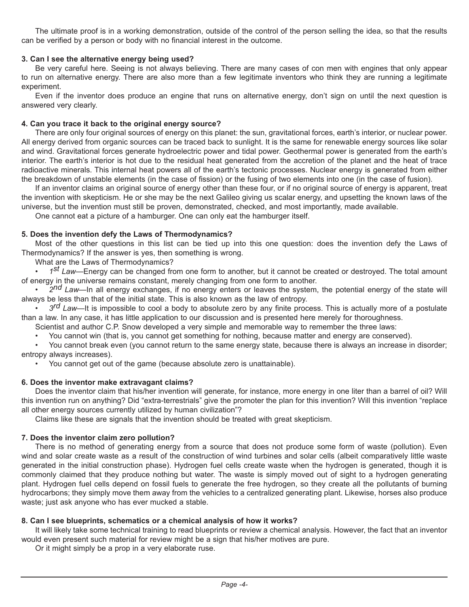The ultimate proof is in a working demonstration, outside of the control of the person selling the idea, so that the results can be verified by a person or body with no financial interest in the outcome.

#### **3. Can I see the alternative energy being used?**

Be very careful here. Seeing is not always believing. There are many cases of con men with engines that only appear to run on alternative energy. There are also more than a few legitimate inventors who think they are running a legitimate experiment.

Even if the inventor does produce an engine that runs on alternative energy, don't sign on until the next question is answered very clearly.

#### **4. Can you trace it back to the original energy source?**

There are only four original sources of energy on this planet: the sun, gravitational forces, earth's interior, or nuclear power. All energy derived from organic sources can be traced back to sunlight. It is the same for renewable energy sources like solar and wind. Gravitational forces generate hydroelectric power and tidal power. Geothermal power is generated from the earth's interior. The earth's interior is hot due to the residual heat generated from the accretion of the planet and the heat of trace radioactive minerals. This internal heat powers all of the earth's tectonic processes. Nuclear energy is generated from either the breakdown of unstable elements (in the case of fission) or the fusing of two elements into one (in the case of fusion).

If an inventor claims an original source of energy other than these four, or if no original source of energy is apparent, treat the invention with skepticism. He or she may be the next Galileo giving us scalar energy, and upsetting the known laws of the universe, but the invention must still be proven, demonstrated, checked, and most importantly, made available.

One cannot eat a picture of a hamburger. One can only eat the hamburger itself.

#### **5. Does the invention defy the Laws of Thermodynamics?**

Most of the other questions in this list can be tied up into this one question: does the invention defy the Laws of Thermodynamics? If the answer is yes, then something is wrong.

What are the Laws of Thermodynamics?

• *1st Law*—Energy can be changed from one form to another, but it cannot be created or destroyed. The total amount of energy in the universe remains constant, merely changing from one form to another.

• <sup>2nd</sup> Law—In all energy exchanges, if no energy enters or leaves the system, the potential energy of the state will always be less than that of the initial state. This is also known as the law of entropy.

• *3rd Law*—It is impossible to cool a body to absolute zero by any finite process. This is actually more of a postulate than a law. In any case, it has little application to our discussion and is presented here merely for thoroughness.

Scientist and author C.P. Snow developed a very simple and memorable way to remember the three laws:

• You cannot win (that is, you cannot get something for nothing, because matter and energy are conserved).

• You cannot break even (you cannot return to the same energy state, because there is always an increase in disorder; entropy always increases).

• You cannot get out of the game (because absolute zero is unattainable).

#### **6. Does the inventor make extravagant claims?**

Does the inventor claim that his/her invention will generate, for instance, more energy in one liter than a barrel of oil? Will this invention run on anything? Did "extra-terrestrials" give the promoter the plan for this invention? Will this invention "replace all other energy sources currently utilized by human civilization"?

Claims like these are signals that the invention should be treated with great skepticism.

#### **7. Does the inventor claim zero pollution?**

There is no method of generating energy from a source that does not produce some form of waste (pollution). Even wind and solar create waste as a result of the construction of wind turbines and solar cells (albeit comparatively little waste generated in the initial construction phase). Hydrogen fuel cells create waste when the hydrogen is generated, though it is commonly claimed that they produce nothing but water. The waste is simply moved out of sight to a hydrogen generating plant. Hydrogen fuel cells depend on fossil fuels to generate the free hydrogen, so they create all the pollutants of burning hydrocarbons; they simply move them away from the vehicles to a centralized generating plant. Likewise, horses also produce waste; just ask anyone who has ever mucked a stable.

#### **8. Can I see blueprints, schematics or a chemical analysis of how it works?**

It will likely take some technical training to read blueprints or review a chemical analysis. However, the fact that an inventor would even present such material for review might be a sign that his/her motives are pure.

Or it might simply be a prop in a very elaborate ruse.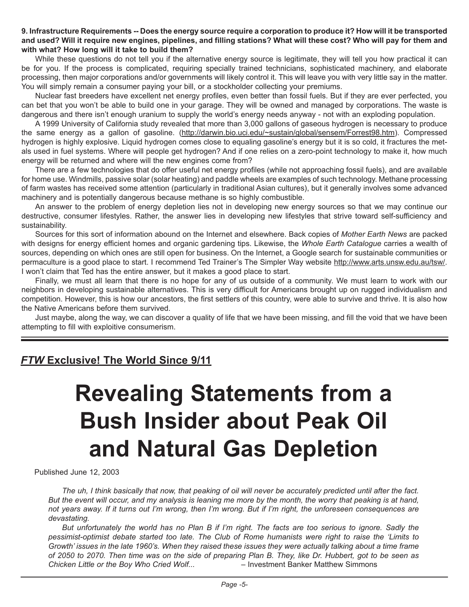#### **9. Infrastructure Requirements -- Does the energy source require a corporation to produce it? How will it be transported and used? Will it require new engines, pipelines, and filling stations? What will these cost? Who will pay for them and with what? How long will it take to build them?**

While these questions do not tell you if the alternative energy source is legitimate, they will tell you how practical it can be for you. If the process is complicated, requiring specially trained technicians, sophisticated machinery, and elaborate processing, then major corporations and/or governments will likely control it. This will leave you with very little say in the matter. You will simply remain a consumer paying your bill, or a stockholder collecting your premiums.

Nuclear fast breeders have excellent net energy profiles, even better than fossil fuels. But if they are ever perfected, you can bet that you won't be able to build one in your garage. They will be owned and managed by corporations. The waste is dangerous and there isn't enough uranium to supply the world's energy needs anyway - not with an exploding population.

A 1999 University of California study revealed that more than 3,000 gallons of gaseous hydrogen is necessary to produce the same energy as a gallon of gasoline. [\(http://darwin.bio.uci.edu/~sustain/global/sensem/Forrest98.htm\)](http://darwin.bio.uci.edu/~sustain/global/sensem/Forrest98.htm). Compressed hydrogen is highly explosive. Liquid hydrogen comes close to equaling gasoline's energy but it is so cold, it fractures the metals used in fuel systems. Where will people get hydrogen? And if one relies on a zero-point technology to make it, how much energy will be returned and where will the new engines come from?

There are a few technologies that do offer useful net energy profiles (while not approaching fossil fuels), and are available for home use. Windmills, passive solar (solar heating) and paddle wheels are examples of such technology. Methane processing of farm wastes has received some attention (particularly in traditional Asian cultures), but it generally involves some advanced machinery and is potentially dangerous because methane is so highly combustible.

An answer to the problem of energy depletion lies not in developing new energy sources so that we may continue our destructive, consumer lifestyles. Rather, the answer lies in developing new lifestyles that strive toward self-sufficiency and sustainability.

Sources for this sort of information abound on the Internet and elsewhere. Back copies of *Mother Earth News* are packed with designs for energy efficient homes and organic gardening tips. Likewise, the *Whole Earth Catalogue* carries a wealth of sources, depending on which ones are still open for business. On the Internet, a Google search for sustainable communities or permaculture is a good place to start. I recommend Ted Trainer's The Simpler Way website [http://www.arts.unsw.edu.au/tsw/.](http://www.arts.unsw.edu.au/tsw/) I won't claim that Ted has the entire answer, but it makes a good place to start.

Finally, we must all learn that there is no hope for any of us outside of a community. We must learn to work with our neighbors in developing sustainable alternatives. This is very difficult for Americans brought up on rugged individualism and competition. However, this is how our ancestors, the first settlers of this country, were able to survive and thrive. It is also how the Native Americans before them survived.

Just maybe, along the way, we can discover a quality of life that we have been missing, and fill the void that we have been attempting to fill with exploitive consumerism.

#### *FTW* **Exclusive! The World Since 9/11**

# **Revealing Statements from a Bush Insider about Peak Oil and Natural Gas Depletion**

Published June 12, 2003

*The uh, I think basically that now, that peaking of oil will never be accurately predicted until after the fact. But the event will occur, and my analysis is leaning me more by the month, the worry that peaking is at hand, not years away. If it turns out I'm wrong, then I'm wrong. But if I'm right, the unforeseen consequences are devastating.*

*But unfortunately the world has no Plan B if I'm right. The facts are too serious to ignore. Sadly the pessimist-optimist debate started too late. The Club of Rome humanists were right to raise the 'Limits to Growth'* issues in the late 1960's. When they raised these issues they were actually talking about a time frame *of 2050 to 2070. Then time was on the side of preparing Plan B. They, like Dr. Hubbert, got to be seen as Chicken Little or the Boy Who Cried Wolf...* – Investment Banker Matthew Simmons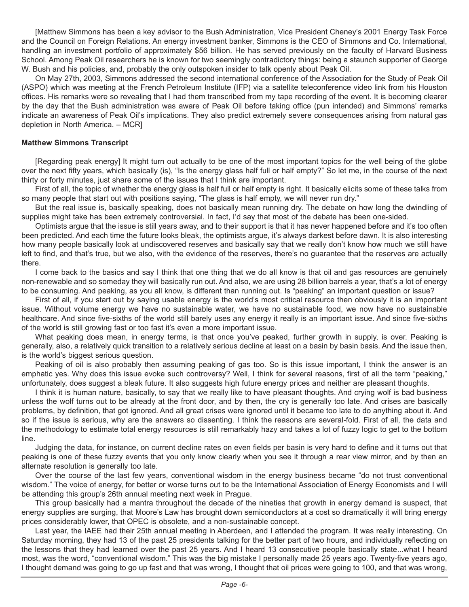[Matthew Simmons has been a key advisor to the Bush Administration, Vice President Cheney's 2001 Energy Task Force and the Council on Foreign Relations. An energy investment banker, Simmons is the CEO of Simmons and Co. International, handling an investment portfolio of approximately \$56 billion. He has served previously on the faculty of Harvard Business School. Among Peak Oil researchers he is known for two seemingly contradictory things: being a staunch supporter of George W. Bush and his policies, and, probably the only outspoken insider to talk openly about Peak Oil.

On May 27th, 2003, Simmons addressed the second international conference of the Association for the Study of Peak Oil (ASPO) which was meeting at the French Petroleum Institute (IFP) via a satellite teleconference video link from his Houston offices. His remarks were so revealing that I had them transcribed from my tape recording of the event. It is becoming clearer by the day that the Bush administration was aware of Peak Oil before taking office (pun intended) and Simmons' remarks indicate an awareness of Peak Oil's implications. They also predict extremely severe consequences arising from natural gas depletion in North America. – MCR]

#### **Matthew Simmons Transcript**

[Regarding peak energy] It might turn out actually to be one of the most important topics for the well being of the globe over the next fifty years, which basically (is), "Is the energy glass half full or half empty?" So let me, in the course of the next thirty or forty minutes, just share some of the issues that I think are important.

First of all, the topic of whether the energy glass is half full or half empty is right. It basically elicits some of these talks from so many people that start out with positions saying, "The glass is half empty, we will never run dry."

But the real issue is, basically speaking, does not basically mean running dry. The debate on how long the dwindling of supplies might take has been extremely controversial. In fact, I'd say that most of the debate has been one-sided.

Optimists argue that the issue is still years away, and to their support is that it has never happened before and it's too often been predicted. And each time the future looks bleak, the optimists argue, it's always darkest before dawn. It is also interesting how many people basically look at undiscovered reserves and basically say that we really don't know how much we still have left to find, and that's true, but we also, with the evidence of the reserves, there's no guarantee that the reserves are actually there.

I come back to the basics and say I think that one thing that we do all know is that oil and gas resources are genuinely non-renewable and so someday they will basically run out. And also, we are using 28 billion barrels a year, that's a lot of energy to be consuming. And peaking, as you all know, is different than running out. Is "peaking" an important question or issue?

First of all, if you start out by saying usable energy is the world's most critical resource then obviously it is an important issue. Without volume energy we have no sustainable water, we have no sustainable food, we now have no sustainable healthcare. And since five-sixths of the world still barely uses any energy it really is an important issue. And since five-sixths of the world is still growing fast or too fast it's even a more important issue.

What peaking does mean, in energy terms, is that once you've peaked, further growth in supply, is over. Peaking is generally, also, a relatively quick transition to a relatively serious decline at least on a basin by basin basis. And the issue then, is the world's biggest serious question.

Peaking of oil is also probably then assuming peaking of gas too. So is this issue important, I think the answer is an emphatic yes. Why does this issue evoke such controversy? Well, I think for several reasons, first of all the term "peaking," unfortunately, does suggest a bleak future. It also suggests high future energy prices and neither are pleasant thoughts.

I think it is human nature, basically, to say that we really like to have pleasant thoughts. And crying wolf is bad business unless the wolf turns out to be already at the front door, and by then, the cry is generally too late. And crises are basically problems, by definition, that got ignored. And all great crises were ignored until it became too late to do anything about it. And so if the issue is serious, why are the answers so dissenting. I think the reasons are several-fold. First of all, the data and the methodology to estimate total energy resources is still remarkably hazy and takes a lot of fuzzy logic to get to the bottom line.

Judging the data, for instance, on current decline rates on even fields per basin is very hard to define and it turns out that peaking is one of these fuzzy events that you only know clearly when you see it through a rear view mirror, and by then an alternate resolution is generally too late.

Over the course of the last few years, conventional wisdom in the energy business became "do not trust conventional wisdom." The voice of energy, for better or worse turns out to be the International Association of Energy Economists and I will be attending this group's 26th annual meeting next week in Prague.

This group basically had a mantra throughout the decade of the nineties that growth in energy demand is suspect, that energy supplies are surging, that Moore's Law has brought down semiconductors at a cost so dramatically it will bring energy prices considerably lower, that OPEC is obsolete, and a non-sustainable concept.

Last year, the IAEE had their 25th annual meeting in Aberdeen, and I attended the program. It was really interesting. On Saturday morning, they had 13 of the past 25 presidents talking for the better part of two hours, and individually reflecting on the lessons that they had learned over the past 25 years. And I heard 13 consecutive people basically state...what I heard most, was the word, "conventional wisdom." This was the big mistake I personally made 25 years ago. Twenty-five years ago, I thought demand was going to go up fast and that was wrong, I thought that oil prices were going to 100, and that was wrong,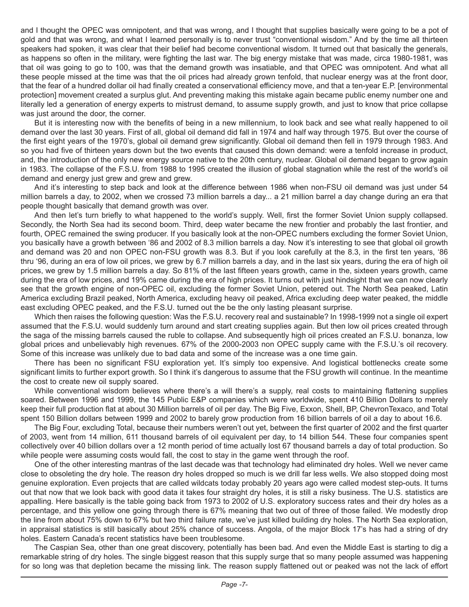and I thought the OPEC was omnipotent, and that was wrong, and I thought that supplies basically were going to be a pot of gold and that was wrong, and what I learned personally is to never trust "conventional wisdom." And by the time all thirteen speakers had spoken, it was clear that their belief had become conventional wisdom. It turned out that basically the generals, as happens so often in the military, were fighting the last war. The big energy mistake that was made, circa 1980-1981, was that oil was going to go to 100, was that the demand growth was insatiable, and that OPEC was omnipotent. And what all these people missed at the time was that the oil prices had already grown tenfold, that nuclear energy was at the front door, that the fear of a hundred dollar oil had finally created a conservational efficiency move, and that a ten-year E.P. [environmental protection] movement created a surplus glut. And preventing making this mistake again became public enemy number one and literally led a generation of energy experts to mistrust demand, to assume supply growth, and just to know that price collapse was just around the door, the corner.

But it is interesting now with the benefits of being in a new millennium, to look back and see what really happened to oil demand over the last 30 years. First of all, global oil demand did fall in 1974 and half way through 1975. But over the course of the first eight years of the 1970's, global oil demand grew significantly. Global oil demand then fell in 1979 through 1983. And so you had five of thirteen years down but the two events that caused this down demand: were a tenfold increase in product, and, the introduction of the only new energy source native to the 20th century, nuclear. Global oil demand began to grow again in 1983. The collapse of the F.S.U. from 1988 to 1995 created the illusion of global stagnation while the rest of the world's oil demand and energy just grew and grew and grew.

And it's interesting to step back and look at the difference between 1986 when non-FSU oil demand was just under 54 million barrels a day, to 2002, when we crossed 73 million barrels a day... a 21 million barrel a day change during an era that people thought basically that demand growth was over.

And then let's turn briefly to what happened to the world's supply. Well, first the former Soviet Union supply collapsed. Secondly, the North Sea had its second boom. Third, deep water became the new frontier and probably the last frontier, and fourth, OPEC remained the swing producer. If you basically look at the non-OPEC numbers excluding the former Soviet Union, you basically have a growth between '86 and 2002 of 8.3 million barrels a day. Now it's interesting to see that global oil growth and demand was 20 and non OPEC non-FSU growth was 8.3. But if you look carefully at the 8.3, in the first ten years, '86 thru '96, during an era of low oil prices, we grew by 6.7 million barrels a day, and in the last six years, during the era of high oil prices, we grew by 1.5 million barrels a day. So 81% of the last fifteen years growth, came in the, sixteen years growth, came during the era of low prices, and 19% came during the era of high prices. It turns out with just hindsight that we can now clearly see that the growth engine of non-OPEC oil, excluding the former Soviet Union, petered out. The North Sea peaked, Latin America excluding Brazil peaked, North America, excluding heavy oil peaked, Africa excluding deep water peaked, the middle east excluding OPEC peaked, and the F.S.U. turned out the be the only lasting pleasant surprise.

Which then raises the following question: Was the F.S.U. recovery real and sustainable? In 1998-1999 not a single oil expert assumed that the F.S.U. would suddenly turn around and start creating supplies again. But then low oil prices created through the saga of the missing barrels caused the ruble to collapse. And subsequently high oil prices created an F.S.U. bonanza, low global prices and unbelievably high revenues. 67% of the 2000-2003 non OPEC supply came with the F.S.U.'s oil recovery. Some of this increase was unlikely due to bad data and some of the increase was a one time gain.

There has been no significant FSU exploration yet. It's simply too expensive. And logistical bottlenecks create some significant limits to further export growth. So I think it's dangerous to assume that the FSU growth will continue. In the meantime the cost to create new oil supply soared.

While conventional wisdom believes where there's a will there's a supply, real costs to maintaining flattening supplies soared. Between 1996 and 1999, the 145 Public E&P companies which were worldwide, spent 410 Billion Dollars to merely keep their full production flat at about 30 Million barrels of oil per day. The Big Five, Exxon, Shell, BP, ChevronTexaco, and Total spent 150 Billion dollars between 1999 and 2002 to barely grow production from 16 billion barrels of oil a day to about 16.6.

The Big Four, excluding Total, because their numbers weren't out yet, between the first quarter of 2002 and the first quarter of 2003, went from 14 million, 611 thousand barrels of oil equivalent per day, to 14 billion 544. These four companies spent collectively over 40 billion dollars over a 12 month period of time actually lost 67 thousand barrels a day of total production. So while people were assuming costs would fall, the cost to stay in the game went through the roof.

One of the other interesting mantras of the last decade was that technology had eliminated dry holes. Well we never came close to obsoleting the dry hole. The reason dry holes dropped so much is we drill far less wells. We also stopped doing most genuine exploration. Even projects that are called wildcats today probably 20 years ago were called modest step-outs. It turns out that now that we look back with good data it takes four straight dry holes, it is still a risky business. The U.S. statistics are appalling. Here basically is the table going back from 1973 to 2002 of U.S. exploratory success rates and their dry holes as a percentage, and this yellow one going through there is 67% meaning that two out of three of those failed. We modestly drop the line from about 75% down to 67% but two third failure rate, we've just killed building dry holes. The North Sea exploration, in appraisal statistics is still basically about 25% chance of success. Angola, of the major Block 17's has had a string of dry holes. Eastern Canada's recent statistics have been troublesome.

The Caspian Sea, other than one great discovery, potentially has been bad. And even the Middle East is starting to dig a remarkable string of dry holes. The single biggest reason that this supply surge that so many people assumed was happening for so long was that depletion became the missing link. The reason supply flattened out or peaked was not the lack of effort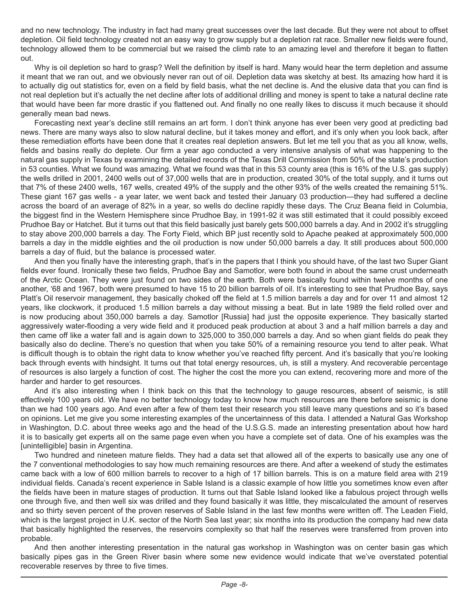and no new technology. The industry in fact had many great successes over the last decade. But they were not about to offset depletion. Oil field technology created not an easy way to grow supply but a depletion rat race. Smaller new fields were found, technology allowed them to be commercial but we raised the climb rate to an amazing level and therefore it began to flatten out.

Why is oil depletion so hard to grasp? Well the definition by itself is hard. Many would hear the term depletion and assume it meant that we ran out, and we obviously never ran out of oil. Depletion data was sketchy at best. Its amazing how hard it is to actually dig out statistics for, even on a field by field basis, what the net decline is. And the elusive data that you can find is not real depletion but it's actually the net decline after lots of additional drilling and money is spent to take a natural decline rate that would have been far more drastic if you flattened out. And finally no one really likes to discuss it much because it should generally mean bad news.

Forecasting next year's decline still remains an art form. I don't think anyone has ever been very good at predicting bad news. There are many ways also to slow natural decline, but it takes money and effort, and it's only when you look back, after these remediation efforts have been done that it creates real depletion answers. But let me tell you that as you all know, wells, fields and basins really do deplete. Our firm a year ago conducted a very intensive analysis of what was happening to the natural gas supply in Texas by examining the detailed records of the Texas Drill Commission from 50% of the state's production in 53 counties. What we found was amazing. What we found was that in this 53 county area (this is 16% of the U.S. gas supply) the wells drilled in 2001, 2400 wells out of 37,000 wells that are in production, created 30% of the total supply, and it turns out that 7% of these 2400 wells, 167 wells, created 49% of the supply and the other 93% of the wells created the remaining 51%. These giant 167 gas wells - a year later, we went back and tested their January 03 production—they had suffered a decline across the board of an average of 82% in a year, so wells do decline rapidly these days. The Cruz Beana field in Columbia, the biggest find in the Western Hemisphere since Prudhoe Bay, in 1991-92 it was still estimated that it could possibly exceed Prudhoe Bay or Hatchet. But it turns out that this field basically just barely gets 500,000 barrels a day. And in 2002 it's struggling to stay above 200,000 barrels a day. The Forty Field, which BP just recently sold to Apache peaked at approximately 500,000 barrels a day in the middle eighties and the oil production is now under 50,000 barrels a day. It still produces about 500,000 barrels a day of fluid, but the balance is processed water.

And then you finally have the interesting graph, that's in the papers that I think you should have, of the last two Super Giant fields ever found. Ironically these two fields, Prudhoe Bay and Samotlor, were both found in about the same crust underneath of the Arctic Ocean. They were just found on two sides of the earth. Both were basically found within twelve months of one another, '68 and 1967, both were presumed to have 15 to 20 billion barrels of oil. It's interesting to see that Prudhoe Bay, says Platt's Oil reservoir management, they basically choked off the field at 1.5 million barrels a day and for over 11 and almost 12 years, like clockwork, it produced 1.5 million barrels a day without missing a beat. But in late 1989 the field rolled over and is now producing about 350,000 barrels a day. Samotlor [Russia] had just the opposite experience. They basically started aggressively water-flooding a very wide field and it produced peak production at about 3 and a half million barrels a day and then came off like a water fall and is again down to 325,000 to 350,000 barrels a day. And so when giant fields do peak they basically also do decline. There's no question that when you take 50% of a remaining resource you tend to alter peak. What is difficult though is to obtain the right data to know whether you've reached fifty percent. And it's basically that you're looking back through events with hindsight. It turns out that total energy resources, uh, is still a mystery. And recoverable percentage of resources is also largely a function of cost. The higher the cost the more you can extend, recovering more and more of the harder and harder to get resources.

And it's also interesting when I think back on this that the technology to gauge resources, absent of seismic, is still effectively 100 years old. We have no better technology today to know how much resources are there before seismic is done than we had 100 years ago. And even after a few of them test their research you still leave many questions and so it's based on opinions. Let me give you some interesting examples of the uncertainness of this data. I attended a Natural Gas Workshop in Washington, D.C. about three weeks ago and the head of the U.S.G.S. made an interesting presentation about how hard it is to basically get experts all on the same page even when you have a complete set of data. One of his examples was the [unintelligible] basin in Argentina.

Two hundred and nineteen mature fields. They had a data set that allowed all of the experts to basically use any one of the 7 conventional methodologies to say how much remaining resources are there. And after a weekend of study the estimates came back with a low of 600 million barrels to recover to a high of 17 billion barrels. This is on a mature field area with 219 individual fields. Canada's recent experience in Sable Island is a classic example of how little you sometimes know even after the fields have been in mature stages of production. It turns out that Sable Island looked like a fabulous project through wells one through five, and then well six was drilled and they found basically it was little, they miscalculated the amount of reserves and so thirty seven percent of the proven reserves of Sable Island in the last few months were written off. The Leaden Field, which is the largest project in U.K. sector of the North Sea last year; six months into its production the company had new data that basically highlighted the reserves, the reservoirs complexity so that half the reserves were transferred from proven into probable.

And then another interesting presentation in the natural gas workshop in Washington was on center basin gas which basically pipes gas in the Green River basin where some new evidence would indicate that we've overstated potential recoverable reserves by three to five times.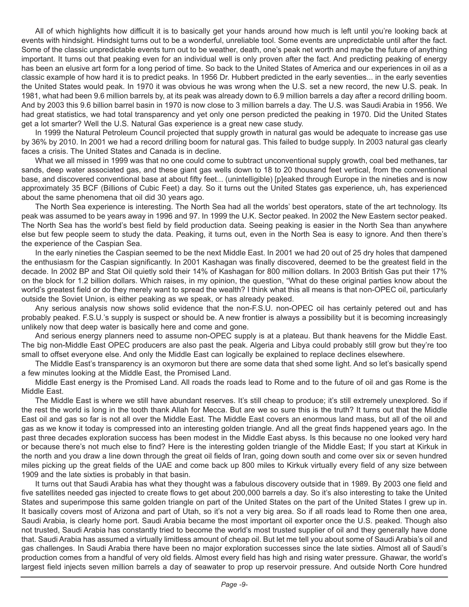All of which highlights how difficult it is to basically get your hands around how much is left until you're looking back at events with hindsight. Hindsight turns out to be a wonderful, unreliable tool. Some events are unpredictable until after the fact. Some of the classic unpredictable events turn out to be weather, death, one's peak net worth and maybe the future of anything important. It turns out that peaking even for an individual well is only proven after the fact. And predicting peaking of energy has been an elusive art form for a long period of time. So back to the United States of America and our experiences in oil as a classic example of how hard it is to predict peaks. In 1956 Dr. Hubbert predicted in the early seventies... in the early seventies the United States would peak. In 1970 it was obvious he was wrong when the U.S. set a new record, the new U.S. peak. In 1981, what had been 9.6 million barrels by, at its peak was already down to 6.9 million barrels a day after a record drilling boom. And by 2003 this 9.6 billion barrel basin in 1970 is now close to 3 million barrels a day. The U.S. was Saudi Arabia in 1956. We had great statistics, we had total transparency and yet only one person predicted the peaking in 1970. Did the United States get a lot smarter? Well the U.S. Natural Gas experience is a great new case study.

In 1999 the Natural Petroleum Council projected that supply growth in natural gas would be adequate to increase gas use by 36% by 2010. In 2001 we had a record drilling boom for natural gas. This failed to budge supply. In 2003 natural gas clearly faces a crisis. The United States and Canada is in decline.

What we all missed in 1999 was that no one could come to subtract unconventional supply growth, coal bed methanes, tar sands, deep water associated gas, and these giant gas wells down to 18 to 20 thousand feet vertical, from the conventional base, and discovered conventional base at about fifty feet... (unintelligible) [p]eaked through Europe in the nineties and is now approximately 35 BCF (Billions of Cubic Feet) a day. So it turns out the United States gas experience, uh, has experienced about the same phenomena that oil did 30 years ago.

The North Sea experience is interesting. The North Sea had all the worlds' best operators, state of the art technology. Its peak was assumed to be years away in 1996 and 97. In 1999 the U.K. Sector peaked. In 2002 the New Eastern sector peaked. The North Sea has the world's best field by field production data. Seeing peaking is easier in the North Sea than anywhere else but few people seem to study the data. Peaking, it turns out, even in the North Sea is easy to ignore. And then there's the experience of the Caspian Sea.

In the early nineties the Caspian seemed to be the next Middle East. In 2001 we had 20 out of 25 dry holes that dampened the enthusiasm for the Caspian significantly. In 2001 Kashagan was finally discovered, deemed to be the greatest field in the decade. In 2002 BP and Stat Oil quietly sold their 14% of Kashagan for 800 million dollars. In 2003 British Gas put their 17% on the block for 1.2 billion dollars. Which raises, in my opinion, the question, "What do these original parties know about the world's greatest field or do they merely want to spread the wealth? I think what this all means is that non-OPEC oil, particularly outside the Soviet Union, is either peaking as we speak, or has already peaked.

Any serious analysis now shows solid evidence that the non-F.S.U. non-OPEC oil has certainly petered out and has probably peaked. F.S.U.'s supply is suspect or should be. A new frontier is always a possibility but it is becoming increasingly unlikely now that deep water is basically here and come and gone.

And serious energy planners need to assume non-OPEC supply is at a plateau. But thank heavens for the Middle East. The big non-Middle East OPEC producers are also past the peak. Algeria and Libya could probably still grow but they're too small to offset everyone else. And only the Middle East can logically be explained to replace declines elsewhere.

The Middle East's transparency is an oxymoron but there are some data that shed some light. And so let's basically spend a few minutes looking at the Middle East, the Promised Land.

Middle East energy is the Promised Land. All roads the roads lead to Rome and to the future of oil and gas Rome is the Middle East.

The Middle East is where we still have abundant reserves. It's still cheap to produce; it's still extremely unexplored. So if the rest the world is long in the tooth thank Allah for Mecca. But are we so sure this is the truth? It turns out that the Middle East oil and gas so far is not all over the Middle East. The Middle East covers an enormous land mass, but all of the oil and gas as we know it today is compressed into an interesting golden triangle. And all the great finds happened years ago. In the past three decades exploration success has been modest in the Middle East abyss. Is this because no one looked very hard or because there's not much else to find? Here is the interesting golden triangle of the Middle East; If you start at Kirkuk in the north and you draw a line down through the great oil fields of Iran, going down south and come over six or seven hundred miles picking up the great fields of the UAE and come back up 800 miles to Kirkuk virtually every field of any size between 1909 and the late sixties is probably in that basin.

It turns out that Saudi Arabia has what they thought was a fabulous discovery outside that in 1989. By 2003 one field and five satellites needed gas injected to create flows to get about 200,000 barrels a day. So it's also interesting to take the United States and superimpose this same golden triangle on part of the United States on the part of the United States I grew up in. It basically covers most of Arizona and part of Utah, so it's not a very big area. So if all roads lead to Rome then one area, Saudi Arabia, is clearly home port. Saudi Arabia became the most important oil exporter once the U.S. peaked. Though also not trusted, Saudi Arabia has constantly tried to become the world's most trusted supplier of oil and they generally have done that. Saudi Arabia has assumed a virtually limitless amount of cheap oil. But let me tell you about some of Saudi Arabia's oil and gas challenges. In Saudi Arabia there have been no major exploration successes since the late sixties. Almost all of Saudi's production comes from a handful of very old fields. Almost every field has high and rising water pressure. Ghawar, the world's largest field injects seven million barrels a day of seawater to prop up reservoir pressure. And outside North Core hundred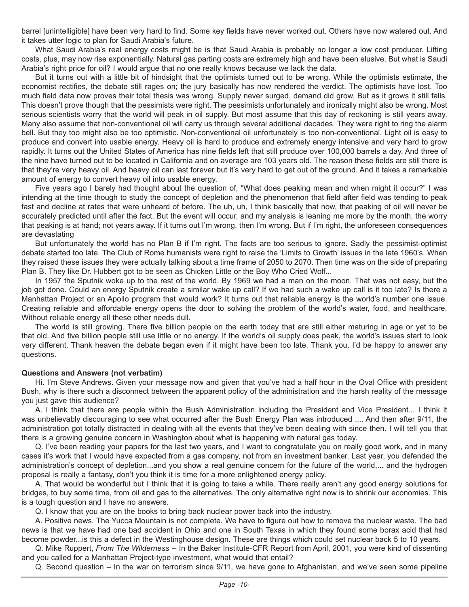barrel [unintelligible] have been very hard to find. Some key fields have never worked out. Others have now watered out. And it takes utter logic to plan for Saudi Arabia's future.

What Saudi Arabia's real energy costs might be is that Saudi Arabia is probably no longer a low cost producer. Lifting costs, plus, may now rise exponentially. Natural gas parting costs are extremely high and have been elusive. But what is Saudi Arabia's right price for oil? I would argue that no one really knows because we lack the data.

But it turns out with a little bit of hindsight that the optimists turned out to be wrong. While the optimists estimate, the economist rectifies, the debate still rages on; the jury basically has now rendered the verdict. The optimists have lost. Too much field data now proves their total thesis was wrong. Supply never surged, demand did grow. But as it grows it still falls. This doesn't prove though that the pessimists were right. The pessimists unfortunately and ironically might also be wrong. Most serious scientists worry that the world will peak in oil supply. But most assume that this day of reckoning is still years away. Many also assume that non-conventional oil will carry us through several additional decades. They were right to ring the alarm bell. But they too might also be too optimistic. Non-conventional oil unfortunately is too non-conventional. Light oil is easy to produce and convert into usable energy. Heavy oil is hard to produce and extremely energy intensive and very hard to grow rapidly. It turns out the United States of America has nine fields left that still produce over 100,000 barrels a day. And three of the nine have turned out to be located in California and on average are 103 years old. The reason these fields are still there is that they're very heavy oil. And heavy oil can last forever but it's very hard to get out of the ground. And it takes a remarkable amount of energy to convert heavy oil into usable energy.

Five years ago I barely had thought about the question of, "What does peaking mean and when might it occur?" I was intending at the time though to study the concept of depletion and the phenomenon that field after field was tending to peak fast and decline at rates that were unheard of before. The uh, uh, I think basically that now, that peaking of oil will never be accurately predicted until after the fact. But the event will occur, and my analysis is leaning me more by the month, the worry that peaking is at hand; not years away. If it turns out I'm wrong, then I'm wrong. But if I'm right, the unforeseen consequences are devastating

But unfortunately the world has no Plan B if I'm right. The facts are too serious to ignore. Sadly the pessimist-optimist debate started too late. The Club of Rome humanists were right to raise the 'Limits to Growth' issues in the late 1960's. When they raised these issues they were actually talking about a time frame of 2050 to 2070. Then time was on the side of preparing Plan B. They like Dr. Hubbert got to be seen as Chicken Little or the Boy Who Cried Wolf...

In 1957 the Sputnik woke up to the rest of the world. By 1969 we had a man on the moon. That was not easy, but the job got done. Could an energy Sputnik create a similar wake up call? If we had such a wake up call is it too late? Is there a Manhattan Project or an Apollo program that would work? It turns out that reliable energy is the world's number one issue. Creating reliable and affordable energy opens the door to solving the problem of the world's water, food, and healthcare. Without reliable energy all these other needs dull.

The world is still growing. There five billion people on the earth today that are still either maturing in age or yet to be that old. And five billion people still use little or no energy. If the world's oil supply does peak, the world's issues start to look very different. Thank heaven the debate began even if it might have been too late. Thank you. I'd be happy to answer any questions.

#### **Questions and Answers (not verbatim)**

Hi. I'm Steve Andrews. Given your message now and given that you've had a half hour in the Oval Office with president Bush, why is there such a disconnect between the apparent policy of the administration and the harsh reality of the message you just gave this audience?

A. I think that there are people within the Bush Administration including the President and Vice President... I think it was unbelievably discouraging to see what occurred after the Bush Energy Plan was introduced .... And then after 9/11, the administration got totally distracted in dealing with all the events that they've been dealing with since then. I will tell you that there is a growing genuine concern in Washington about what is happening with natural gas today.

Q. I've been reading your papers for the last two years, and I want to congratulate you on really good work, and in many cases it's work that I would have expected from a gas company, not from an investment banker. Last year, you defended the administration's concept of depletion...and you show a real genuine concern for the future of the world,... and the hydrogen proposal is really a fantasy, don't you think it is time for a more enlightened energy policy.

A. That would be wonderful but I think that it is going to take a while. There really aren't any good energy solutions for bridges, to buy some time, from oil and gas to the alternatives. The only alternative right now is to shrink our economies. This is a tough question and I have no answers.

Q. I know that you are on the books to bring back nuclear power back into the industry.

A. Positive news. The Yucca Mountain is not complete. We have to figure out how to remove the nuclear waste. The bad news is that we have had one bad accident in Ohio and one in South Texas in which they found some borax acid that had become powder...is this a defect in the Westinghouse design. These are things which could set nuclear back 5 to 10 years.

Q. Mike Ruppert, *From The Wilderness* -- In the Baker Institute-CFR Report from April, 2001, you were kind of dissenting and you called for a Manhattan Project-type investment, what would that entail?

Q. Second question – In the war on terrorism since 9/11, we have gone to Afghanistan, and we've seen some pipeline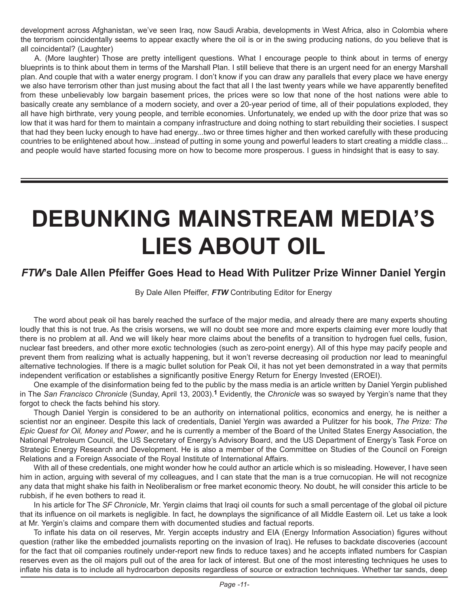development across Afghanistan, we've seen Iraq, now Saudi Arabia, developments in West Africa, also in Colombia where the terrorism coincidentally seems to appear exactly where the oil is or in the swing producing nations, do you believe that is all coincidental? (Laughter)

A. (More laughter) Those are pretty intelligent questions. What I encourage people to think about in terms of energy blueprints is to think about them in terms of the Marshall Plan. I still believe that there is an urgent need for an energy Marshall plan. And couple that with a water energy program. I don't know if you can draw any parallels that every place we have energy we also have terrorism other than just musing about the fact that all I the last twenty years while we have apparently benefited from these unbelievably low bargain basement prices, the prices were so low that none of the host nations were able to basically create any semblance of a modern society, and over a 20-year period of time, all of their populations exploded, they all have high birthrate, very young people, and terrible economies. Unfortunately, we ended up with the door prize that was so low that it was hard for them to maintain a company infrastructure and doing nothing to start rebuilding their societies. I suspect that had they been lucky enough to have had energy...two or three times higher and then worked carefully with these producing countries to be enlightened about how...instead of putting in some young and powerful leaders to start creating a middle class... and people would have started focusing more on how to become more prosperous. I guess in hindsight that is easy to say.

# **DEBUNKING MAINSTREAM MEDIA'S LIES ABOUT OIL**

### *FTW***'s Dale Allen Pfeiffer Goes Head to Head With Pulitzer Prize Winner Daniel Yergin**

By Dale Allen Pfeiffer, *FTW* Contributing Editor for Energy

The word about peak oil has barely reached the surface of the major media, and already there are many experts shouting loudly that this is not true. As the crisis worsens, we will no doubt see more and more experts claiming ever more loudly that there is no problem at all. And we will likely hear more claims about the benefits of a transition to hydrogen fuel cells, fusion, nuclear fast breeders, and other more exotic technologies (such as zero-point energy). All of this hype may pacify people and prevent them from realizing what is actually happening, but it won't reverse decreasing oil production nor lead to meaningful alternative technologies. If there is a magic bullet solution for Peak Oil, it has not yet been demonstrated in a way that permits independent verification or establishes a significantly positive Energy Return for Energy Invested (EROEI).

One example of the disinformation being fed to the public by the mass media is an article written by Daniel Yergin published in The *San Francisco Chronicle* (Sunday, April 13, 2003).**1** Evidently, the *Chronicle* was so swayed by Yergin's name that they forgot to check the facts behind his story.

Though Daniel Yergin is considered to be an authority on international politics, economics and energy, he is neither a scientist nor an engineer. Despite this lack of credentials, Daniel Yergin was awarded a Pulitzer for his book, *The Prize: The Epic Quest for Oil, Money and Power*, and he is currently a member of the Board of the United States Energy Association, the National Petroleum Council, the US Secretary of Energy's Advisory Board, and the US Department of Energy's Task Force on Strategic Energy Research and Development. He is also a member of the Committee on Studies of the Council on Foreign Relations and a Foreign Associate of the Royal Institute of International Affairs.

With all of these credentials, one might wonder how he could author an article which is so misleading. However, I have seen him in action, arguing with several of my colleagues, and I can state that the man is a true cornucopian. He will not recognize any data that might shake his faith in Neoliberalism or free market economic theory. No doubt, he will consider this article to be rubbish, if he even bothers to read it.

In his article for The *SF Chronicle*, Mr. Yergin claims that Iraqi oil counts for such a small percentage of the global oil picture that its influence on oil markets is negligible. In fact, he downplays the significance of all Middle Eastern oil. Let us take a look at Mr. Yergin's claims and compare them with documented studies and factual reports.

To inflate his data on oil reserves, Mr. Yergin accepts industry and EIA (Energy Information Association) figures without question (rather like the embedded journalists reporting on the invasion of Iraq). He refuses to backdate discoveries (account for the fact that oil companies routinely under-report new finds to reduce taxes) and he accepts inflated numbers for Caspian reserves even as the oil majors pull out of the area for lack of interest. But one of the most interesting techniques he uses to inflate his data is to include all hydrocarbon deposits regardless of source or extraction techniques. Whether tar sands, deep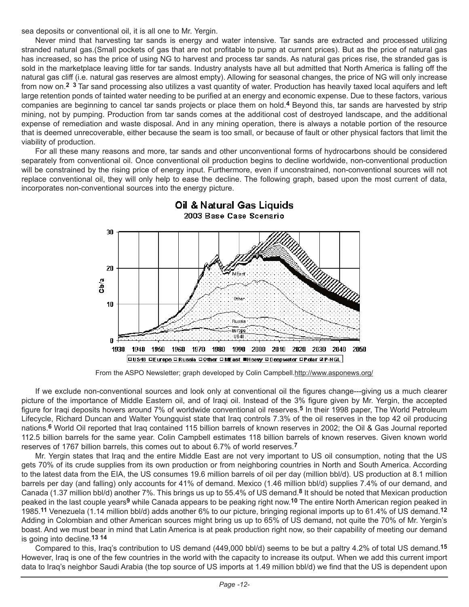sea deposits or conventional oil, it is all one to Mr. Yergin.

Never mind that harvesting tar sands is energy and water intensive. Tar sands are extracted and processed utilizing stranded natural gas.(Small pockets of gas that are not profitable to pump at current prices). But as the price of natural gas has increased, so has the price of using NG to harvest and process tar sands. As natural gas prices rise, the stranded gas is sold in the marketplace leaving little for tar sands. Industry analysts have all but admitted that North America is falling off the natural gas cliff (i.e. natural gas reserves are almost empty). Allowing for seasonal changes, the price of NG will only increase from now on.**2 3** Tar sand processing also utilizes a vast quantity of water. Production has heavily taxed local aquifers and left large retention ponds of tainted water needing to be purified at an energy and economic expense. Due to these factors, various companies are beginning to cancel tar sands projects or place them on hold.**4** Beyond this, tar sands are harvested by strip mining, not by pumping. Production from tar sands comes at the additional cost of destroyed landscape, and the additional expense of remediation and waste disposal. And in any mining operation, there is always a notable portion of the resource that is deemed unrecoverable, either because the seam is too small, or because of fault or other physical factors that limit the viability of production.

For all these many reasons and more, tar sands and other unconventional forms of hydrocarbons should be considered separately from conventional oil. Once conventional oil production begins to decline worldwide, non-conventional production will be constrained by the rising price of energy input. Furthermore, even if unconstrained, non-conventional sources will not replace conventional oil, they will only help to ease the decline. The following graph, based upon the most current of data, incorporates non-conventional sources into the energy picture.



From the ASPO Newsletter; graph developed by Colin Campbell.<http://www.asponews.org/>

If we exclude non-conventional sources and look only at conventional oil the figures change---giving us a much clearer picture of the importance of Middle Eastern oil, and of Iraqi oil. Instead of the 3% figure given by Mr. Yergin, the accepted figure for Iraqi deposits hovers around 7% of worldwide conventional oil reserves.**5** In their 1998 paper, The World Petroleum Lifecycle, Richard Duncan and Walter Youngquist state that Iraq controls 7.3% of the oil reserves in the top 42 oil producing nations.**6** World Oil reported that Iraq contained 115 billion barrels of known reserves in 2002; the Oil & Gas Journal reported 112.5 billion barrels for the same year. Colin Campbell estimates 118 billion barrels of known reserves. Given known world reserves of 1767 billion barrels, this comes out to about 6.7% of world reserves.**7**

Mr. Yergin states that Iraq and the entire Middle East are not very important to US oil consumption, noting that the US gets 70% of its crude supplies from its own production or from neighboring countries in North and South America. According to the latest data from the EIA, the US consumes 19.6 million barrels of oil per day (million bbl/d). US production at 8.1 million barrels per day (and falling) only accounts for 41% of demand. Mexico (1.46 million bbl/d) supplies 7.4% of our demand, and Canada (1.37 million bbl/d) another 7%. This brings us up to 55.4% of US demand.**8** It should be noted that Mexican production peaked in the last couple years**9** while Canada appears to be peaking right now.**10** The entire North American region peaked in 1985.**11** Venezuela (1.14 million bbl/d) adds another 6% to our picture, bringing regional imports up to 61.4% of US demand.**12**  Adding in Colombian and other American sources might bring us up to 65% of US demand, not quite the 70% of Mr. Yergin's boast. And we must bear in mind that Latin America is at peak production right now, so their capability of meeting our demand is going into decline.**13 14**

Compared to this, Iraq's contribution to US demand (449,000 bbl/d) seems to be but a paltry 4.2% of total US demand.**15**  However, Iraq is one of the few countries in the world with the capacity to increase its output. When we add this current import data to Iraq's neighbor Saudi Arabia (the top source of US imports at 1.49 million bbl/d) we find that the US is dependent upon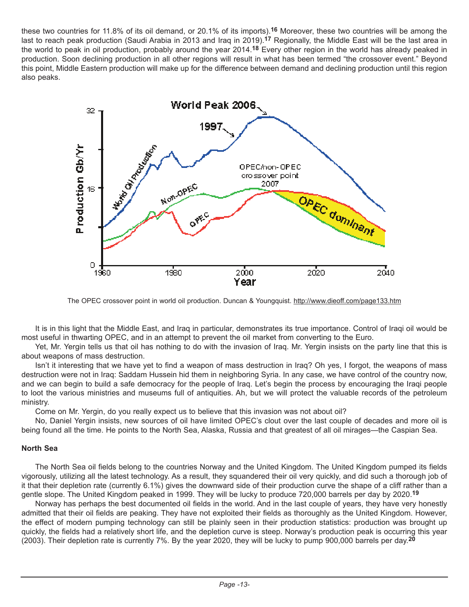these two countries for 11.8% of its oil demand, or 20.1% of its imports).**16** Moreover, these two countries will be among the last to reach peak production (Saudi Arabia in 2013 and Iraq in 2019).**17** Regionally, the Middle East will be the last area in the world to peak in oil production, probably around the year 2014.**18** Every other region in the world has already peaked in production. Soon declining production in all other regions will result in what has been termed "the crossover event." Beyond this point, Middle Eastern production will make up for the difference between demand and declining production until this region also peaks.



The OPEC crossover point in world oil production. Duncan & Youngquist.<http://www.dieoff.com/page133.htm>

It is in this light that the Middle East, and Iraq in particular, demonstrates its true importance. Control of Iraqi oil would be most useful in thwarting OPEC, and in an attempt to prevent the oil market from converting to the Euro.

Yet, Mr. Yergin tells us that oil has nothing to do with the invasion of Iraq. Mr. Yergin insists on the party line that this is about weapons of mass destruction.

Isn't it interesting that we have yet to find a weapon of mass destruction in Iraq? Oh yes, I forgot, the weapons of mass destruction were not in Iraq: Saddam Hussein hid them in neighboring Syria. In any case, we have control of the country now, and we can begin to build a safe democracy for the people of Iraq. Let's begin the process by encouraging the Iraqi people to loot the various ministries and museums full of antiquities. Ah, but we will protect the valuable records of the petroleum ministry.

Come on Mr. Yergin, do you really expect us to believe that this invasion was not about oil?

No, Daniel Yergin insists, new sources of oil have limited OPEC's clout over the last couple of decades and more oil is being found all the time. He points to the North Sea, Alaska, Russia and that greatest of all oil mirages—the Caspian Sea.

#### **North Sea**

The North Sea oil fields belong to the countries Norway and the United Kingdom. The United Kingdom pumped its fields vigorously, utilizing all the latest technology. As a result, they squandered their oil very quickly, and did such a thorough job of it that their depletion rate (currently 6.1%) gives the downward side of their production curve the shape of a cliff rather than a gentle slope. The United Kingdom peaked in 1999. They will be lucky to produce 720,000 barrels per day by 2020.**19**

Norway has perhaps the best documented oil fields in the world. And in the last couple of years, they have very honestly admitted that their oil fields are peaking. They have not exploited their fields as thoroughly as the United Kingdom. However, the effect of modern pumping technology can still be plainly seen in their production statistics: production was brought up quickly, the fields had a relatively short life, and the depletion curve is steep. Norway's production peak is occurring this year (2003). Their depletion rate is currently 7%. By the year 2020, they will be lucky to pump 900,000 barrels per day.**20**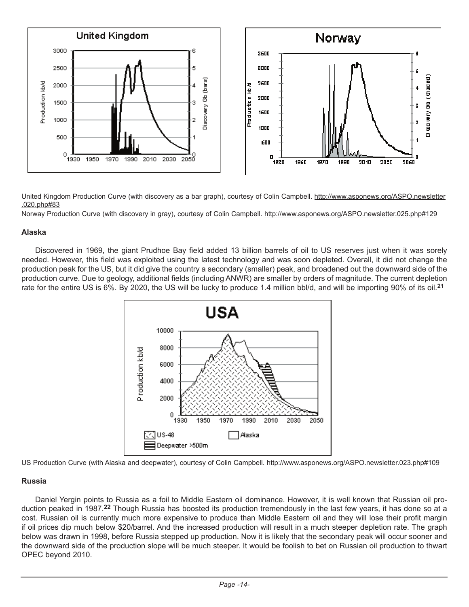

United Kingdom Production Curve (with discovery as a bar graph), courtesy of Colin Campbell. <http://www.asponews.org/ASPO.newsletter> .020.php#83

Norway Production Curve (with discovery in gray), courtesy of Colin Campbell.<http://www.asponews.org/ASPO.newsletter.025.php#129>

#### **Alaska**

Discovered in 1969, the giant Prudhoe Bay field added 13 billion barrels of oil to US reserves just when it was sorely needed. However, this field was exploited using the latest technology and was soon depleted. Overall, it did not change the production peak for the US, but it did give the country a secondary (smaller) peak, and broadened out the downward side of the production curve. Due to geology, additional fields (including ANWR) are smaller by orders of magnitude. The current depletion rate for the entire US is 6%. By 2020, the US will be lucky to produce 1.4 million bbl/d, and will be importing 90% of its oil.**21**



US Production Curve (with Alaska and deepwater), courtesy of Colin Campbell.<http://www.asponews.org/ASPO.newsletter.023.php#109>

#### **Russia**

Daniel Yergin points to Russia as a foil to Middle Eastern oil dominance. However, it is well known that Russian oil production peaked in 1987.**22** Though Russia has boosted its production tremendously in the last few years, it has done so at a cost. Russian oil is currently much more expensive to produce than Middle Eastern oil and they will lose their profit margin if oil prices dip much below \$20/barrel. And the increased production will result in a much steeper depletion rate. The graph below was drawn in 1998, before Russia stepped up production. Now it is likely that the secondary peak will occur sooner and the downward side of the production slope will be much steeper. It would be foolish to bet on Russian oil production to thwart OPEC beyond 2010.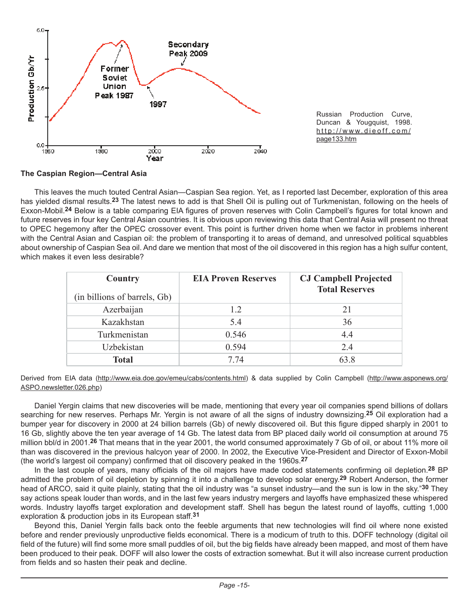

Russian Production Curve, Duncan & Yougquist, 1998. <http://www.dieoff.com/> page133.htm

#### **The Caspian Region—Central Asia**

This leaves the much touted Central Asian—Caspian Sea region. Yet, as I reported last December, exploration of this area has yielded dismal results.**23** The latest news to add is that Shell Oil is pulling out of Turkmenistan, following on the heels of Exxon-Mobil.**24** Below is a table comparing EIA figures of proven reserves with Colin Campbell's figures for total known and future reserves in four key Central Asian countries. It is obvious upon reviewing this data that Central Asia will present no threat to OPEC hegemony after the OPEC crossover event. This point is further driven home when we factor in problems inherent with the Central Asian and Caspian oil: the problem of transporting it to areas of demand, and unresolved political squabbles about ownership of Caspian Sea oil. And dare we mention that most of the oil discovered in this region has a high sulfur content, which makes it even less desirable?

| Country<br>(in billions of barrels, Gb) | <b>EIA Proven Reserves</b> | <b>CJ Campbell Projected</b><br><b>Total Reserves</b> |
|-----------------------------------------|----------------------------|-------------------------------------------------------|
| Azerbaijan                              | 1.2                        | 21                                                    |
| Kazakhstan                              | 5.4                        | 36                                                    |
| Turkmenistan                            | 0.546                      | 4.4                                                   |
| Uzbekistan                              | 0.594                      | 2.4                                                   |
| <b>Total</b>                            | 7 74                       | 63.8                                                  |

Derived from EIA data ([http://www.eia.doe.gov/emeu/cabs/contents.html\)](http://www.eia.doe.gov/emeu/cabs/contents.html) & data supplied by Colin Campbell [\(http://www.asponews.org/](http://www.asponews.org/ASPO.newsletter.026.php) ASPO.newsletter.026.php)

Daniel Yergin claims that new discoveries will be made, mentioning that every year oil companies spend billions of dollars searching for new reserves. Perhaps Mr. Yergin is not aware of all the signs of industry downsizing.**25** Oil exploration had a bumper year for discovery in 2000 at 24 billion barrels (Gb) of newly discovered oil. But this figure dipped sharply in 2001 to 16 Gb, slightly above the ten year average of 14 Gb. The latest data from BP placed daily world oil consumption at around 75 million bbl/d in 2001.**26** That means that in the year 2001, the world consumed approximately 7 Gb of oil, or about 11% more oil than was discovered in the previous halcyon year of 2000. In 2002, the Executive Vice-President and Director of Exxon-Mobil (the world's largest oil company) confirmed that oil discovery peaked in the 1960s.**27**

In the last couple of years, many officials of the oil majors have made coded statements confirming oil depletion.**28** BP admitted the problem of oil depletion by spinning it into a challenge to develop solar energy.**29** Robert Anderson, the former head of ARCO, said it quite plainly, stating that the oil industry was "a sunset industry—and the sun is low in the sky."**30** They say actions speak louder than words, and in the last few years industry mergers and layoffs have emphasized these whispered words. Industry layoffs target exploration and development staff. Shell has begun the latest round of layoffs, cutting 1,000 exploration & production jobs in its European staff.**31**

Beyond this, Daniel Yergin falls back onto the feeble arguments that new technologies will find oil where none existed before and render previously unproductive fields economical. There is a modicum of truth to this. DOFF technology (digital oil field of the future) will find some more small puddles of oil, but the big fields have already been mapped, and most of them have been produced to their peak. DOFF will also lower the costs of extraction somewhat. But it will also increase current production from fields and so hasten their peak and decline.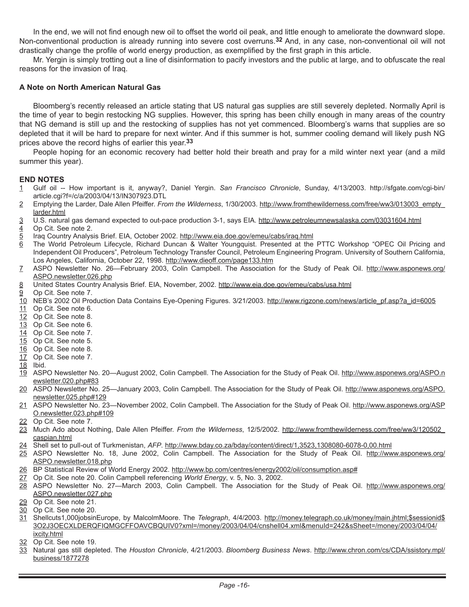In the end, we will not find enough new oil to offset the world oil peak, and little enough to ameliorate the downward slope. Non-conventional production is already running into severe cost overruns.**32** And, in any case, non-conventional oil will not drastically change the profile of world energy production, as exemplified by the first graph in this article.

Mr. Yergin is simply trotting out a line of disinformation to pacify investors and the public at large, and to obfuscate the real reasons for the invasion of Iraq.

#### **A Note on North American Natural Gas**

Bloomberg's recently released an article stating that US natural gas supplies are still severely depleted. Normally April is the time of year to begin restocking NG supplies. However, this spring has been chilly enough in many areas of the country that NG demand is still up and the restocking of supplies has not yet commenced. Bloomberg's warns that supplies are so depleted that it will be hard to prepare for next winter. And if this summer is hot, summer cooling demand will likely push NG prices above the record highs of earlier this year.**33** 

People hoping for an economic recovery had better hold their breath and pray for a mild winter next year (and a mild summer this year).

#### **END NOTES**

- 1 Gulf oil -- How important is it, anyway?, Daniel Yergin. *San Francisco Chronicle*, Sunday, 4/13/2003. [http://sfgate.com/cgi-bin/](http://sfgate.com/cgi-bin/article.cgi?f=/c/a/2003/04/13/IN307923.DTL) article.cgi?f=/c/a/2003/04/13/IN307923.DTL
- 2 Emptying the Larder, Dale Allen Pfeiffer. *From the Wilderness*, 1/30/2003. [http://www.fromthewilderness.com/free/ww3/013003\\_empty\\_](http://www.fromthewilderness.com/free/ww3/013003_empty_larder.html) larder.html
- 3 U.S. natural gas demand expected to out-pace production 3-1, says EIA. <http://www.petroleumnewsalaska.com/03031604.html>
- 
- 4 Op Cit. See note 2.<br>5 Iraq Country Analys Iraq Country Analysis Brief. EIA, October 2002. <http://www.eia.doe.gov/emeu/cabs/iraq.html>
- 6 The World Petroleum Lifecycle, Richard Duncan & Walter Youngquist. Presented at the PTTC Workshop "OPEC Oil Pricing and Independent Oil Producers", Petroleum Technology Transfer Council, Petroleum Engineering Program. University of Southern California, Los Angeles, California, October 22, 1998.<http://www.dieoff.com/page133.htm>
- 7 ASPO Newsletter No. 26—February 2003, Colin Campbell. The Association for the Study of Peak Oil. [http://www.asponews.org/](http://www.asponews.org/ASPO.newsletter.026.php) ASPO.newsletter.026.php
- 8 United States Country Analysis Brief. EIA, November, 2002.<http://www.eia.doe.gov/emeu/cabs/usa.html>
- 9 Op Cit. See note 7.
- 10 NEB's 2002 Oil Production Data Contains Eye-Opening Figures. 3/21/2003. [http://www.rigzone.com/news/article\\_pf.asp?a\\_id=6005](http://www.rigzone.com/news/article_pf.asp?a_id=6005)
- 11 Op Cit. See note 6.
- 12 Op Cit. See note 8.
- 13 Op Cit. See note 6.
- 14 Op Cit. See note 7.
- 15 Op Cit. See note 5.
- 16 Op Cit. See note 8.
- 17 Op Cit. See note 7.
- 18 Ibid.
- 19 ASPO Newsletter No. 20—August 2002, Colin Campbell. The Association for the Study of Peak Oil. [http://www.asponews.org/ASPO.n](http://www.asponews.org/ASPO.newsletter.020.php#83) ewsletter.020.php#83
- 20 ASPO Newsletter No. 25—January 2003, Colin Campbell. The Association for the Study of Peak Oil. [http://www.asponews.org/ASPO.](http://www.asponews.org/ASPO.newsletter.025.php#129) newsletter.025.php#129
- 21 ASPO Newsletter No. 23—November 2002, Colin Campbell. The Association for the Study of Peak Oil. [http://www.asponews.org/ASP](http://www.asponews.org/ASPO.newsletter.023.php#109) O.newsletter.023.php#109
- 22 Op Cit. See note 7.
- 23 Much Ado about Nothing, Dale Allen Pfeiffer. *From the Wilderness*, 12/5/2002. [http://www.fromthewilderness.com/free/ww3/120502\\_](http://www.fromthewilderness.com/free/ww3/120502_caspian.html) caspian.html
- 24 Shell set to pull-out of Turkmenistan, *AFP*. <http://www.bday.co.za/bday/content/direct/1,3523,1308080-6078-0,00.html>
- 25 ASPO Newsletter No. 18, June 2002, Colin Campbell. The Association for the Study of Peak Oil. [http://www.asponews.org/](http://www.asponews.org/ASPO.newsletter.018.php) ASPO.newsletter.018.php
- 26 BP Statistical Review of World Energy 2002.<http://www.bp.com/centres/energy2002/oil/consumption.asp#>
- 27 Op Cit. See note 20. Colin Campbell referencing *World Energy*, v. 5, No. 3, 2002.
- 28 ASPO Newsletter No. 27—March 2003, Colin Campbell. The Association for the Study of Peak Oil. [http://www.asponews.org/](http://www.asponews.org/ASPO.newsletter.027.php) ASPO.newsletter.027.php
- 29 Op Cit. See note 21.
- 30 Op Cit. See note 20.
- 31 Shellcuts1,000jobsinEurope, by MalcolmMoore. The *Telegraph*, 4/4/2003. [http://money.telegraph.co.uk/money/main.jhtml;\\$sessionid\\$](http://money.telegraph.co.uk/money/main.jhtml;$sessionid$3O2J3OECXLDERQFIQMGCFFOAVCBQUIV0?xml=/money/2003/04/04/cnshell04.xml&menuId=242&sSheet=/money/2003/04/04/-ixcity.html) 3O2J3OECXLDERQFIQMGCFFOAVCBQUIV0?xml=/money/2003/04/04/cnshell04.xml&menuId=242&sSheet=/money/2003/04/04/ ixcity.html
- 32 Op Cit. See note 19.
- 33 Natural gas still depleted. The *Houston Chronicle*, 4/21/2003. *Bloomberg Business News*. [http://www.chron.com/cs/CDA/ssistory.mpl/](http://www.chron.com/cs/CDA/ssistory.mpl/business/1877278) business/1877278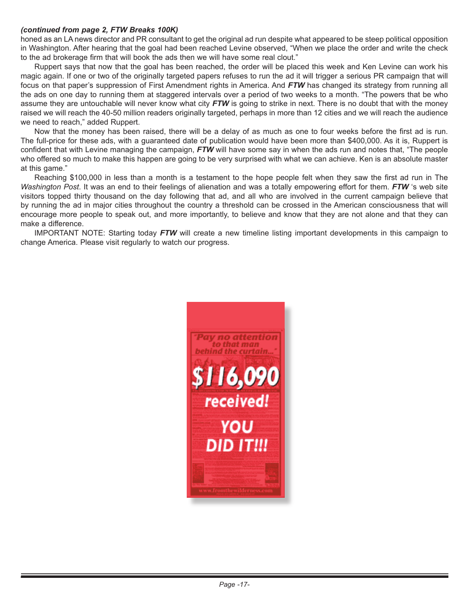#### *(continued from page 2, FTW Breaks 100K)*

honed as an LA news director and PR consultant to get the original ad run despite what appeared to be steep political opposition in Washington. After hearing that the goal had been reached Levine observed, "When we place the order and write the check to the ad brokerage firm that will book the ads then we will have some real clout."

Ruppert says that now that the goal has been reached, the order will be placed this week and Ken Levine can work his magic again. If one or two of the originally targeted papers refuses to run the ad it will trigger a serious PR campaign that will focus on that paper's suppression of First Amendment rights in America. And *FTW* has changed its strategy from running all the ads on one day to running them at staggered intervals over a period of two weeks to a month. "The powers that be who assume they are untouchable will never know what city *FTW* is going to strike in next. There is no doubt that with the money raised we will reach the 40-50 million readers originally targeted, perhaps in more than 12 cities and we will reach the audience we need to reach," added Ruppert.

Now that the money has been raised, there will be a delay of as much as one to four weeks before the first ad is run. The full-price for these ads, with a guaranteed date of publication would have been more than \$400,000. As it is, Ruppert is confident that with Levine managing the campaign, *FTW* will have some say in when the ads run and notes that, "The people who offered so much to make this happen are going to be very surprised with what we can achieve. Ken is an absolute master at this game."

Reaching \$100,000 in less than a month is a testament to the hope people felt when they saw the first ad run in The *Washington Post*. It was an end to their feelings of alienation and was a totally empowering effort for them. *FTW* 's web site visitors topped thirty thousand on the day following that ad, and all who are involved in the current campaign believe that by running the ad in major cities throughout the country a threshold can be crossed in the American consciousness that will encourage more people to speak out, and more importantly, to believe and know that they are not alone and that they can make a difference.

IMPORTANT NOTE: Starting today *FTW* will create a new timeline listing important developments in this campaign to change America. Please visit regularly to watch our progress.

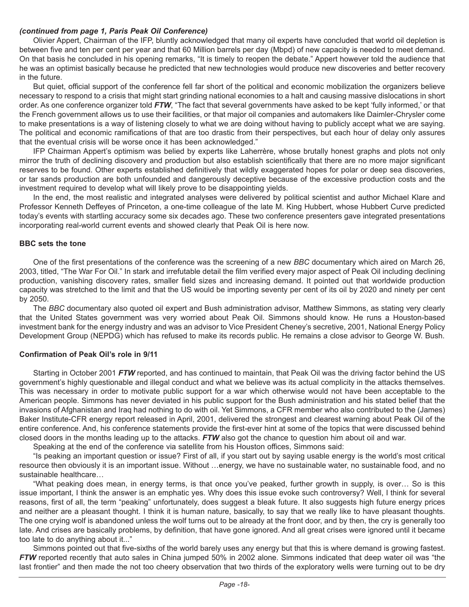#### *(continued from page 1, Paris Peak Oil Conference)*

Olivier Appert, Chairman of the IFP, bluntly acknowledged that many oil experts have concluded that world oil depletion is between five and ten per cent per year and that 60 Million barrels per day (Mbpd) of new capacity is needed to meet demand. On that basis he concluded in his opening remarks, "It is timely to reopen the debate." Appert however told the audience that he was an optimist basically because he predicted that new technologies would produce new discoveries and better recovery in the future.

But quiet, official support of the conference fell far short of the political and economic mobilization the organizers believe necessary to respond to a crisis that might start grinding national economies to a halt and causing massive dislocations in short order. As one conference organizer told *FTW*, "The fact that several governments have asked to be kept 'fully informed,' or that the French government allows us to use their facilities, or that major oil companies and automakers like Daimler-Chrysler come to make presentations is a way of listening closely to what we are doing without having to publicly accept what we are saying. The political and economic ramifications of that are too drastic from their perspectives, but each hour of delay only assures that the eventual crisis will be worse once it has been acknowledged."

IFP Chairman Appert's optimism was belied by experts like Laherrère, whose brutally honest graphs and plots not only mirror the truth of declining discovery and production but also establish scientifically that there are no more major significant reserves to be found. Other experts established definitively that wildly exaggerated hopes for polar or deep sea discoveries, or tar sands production are both unfounded and dangerously deceptive because of the excessive production costs and the investment required to develop what will likely prove to be disappointing yields.

In the end, the most realistic and integrated analyses were delivered by political scientist and author Michael Klare and Professor Kenneth Deffeyes of Princeton, a one-time colleague of the late M. King Hubbert, whose Hubbert Curve predicted today's events with startling accuracy some six decades ago. These two conference presenters gave integrated presentations incorporating real-world current events and showed clearly that Peak Oil is here now.

#### **BBC sets the tone**

One of the first presentations of the conference was the screening of a new *BBC* documentary which aired on March 26, 2003, titled, "The War For Oil." In stark and irrefutable detail the film verified every major aspect of Peak Oil including declining production, vanishing discovery rates, smaller field sizes and increasing demand. It pointed out that worldwide production capacity was stretched to the limit and that the US would be importing seventy per cent of its oil by 2020 and ninety per cent by 2050.

The *BBC* documentary also quoted oil expert and Bush administration advisor, Matthew Simmons, as stating very clearly that the United States government was very worried about Peak Oil. Simmons should know. He runs a Houston-based investment bank for the energy industry and was an advisor to Vice President Cheney's secretive, 2001, National Energy Policy Development Group (NEPDG) which has refused to make its records public. He remains a close advisor to George W. Bush.

#### **Confirmation of Peak Oil's role in 9/11**

Starting in October 2001 *FTW* reported, and has continued to maintain, that Peak Oil was the driving factor behind the US government's highly questionable and illegal conduct and what we believe was its actual complicity in the attacks themselves. This was necessary in order to motivate public support for a war which otherwise would not have been acceptable to the American people. Simmons has never deviated in his public support for the Bush administration and his stated belief that the invasions of Afghanistan and Iraq had nothing to do with oil. Yet Simmons, a CFR member who also contributed to the (James) Baker Institute-CFR energy report released in April, 2001, delivered the strongest and clearest warning about Peak Oil of the entire conference. And, his conference statements provide the first-ever hint at some of the topics that were discussed behind closed doors in the months leading up to the attacks. *FTW* also got the chance to question him about oil and war.

Speaking at the end of the conference via satellite from his Houston offices, Simmons said:

"Is peaking an important question or issue? First of all, if you start out by saying usable energy is the world's most critical resource then obviously it is an important issue. Without …energy, we have no sustainable water, no sustainable food, and no sustainable healthcare…

"What peaking does mean, in energy terms, is that once you've peaked, further growth in supply, is over… So is this issue important, I think the answer is an emphatic yes. Why does this issue evoke such controversy? Well, I think for several reasons, first of all, the term "peaking" unfortunately, does suggest a bleak future. It also suggests high future energy prices and neither are a pleasant thought. I think it is human nature, basically, to say that we really like to have pleasant thoughts. The one crying wolf is abandoned unless the wolf turns out to be already at the front door, and by then, the cry is generally too late. And crises are basically problems, by definition, that have gone ignored. And all great crises were ignored until it became too late to do anything about it..."

Simmons pointed out that five-sixths of the world barely uses any energy but that this is where demand is growing fastest. *FTW* reported recently that auto sales in China jumped 50% in 2002 alone. Simmons indicated that deep water oil was "the last frontier" and then made the not too cheery observation that two thirds of the exploratory wells were turning out to be dry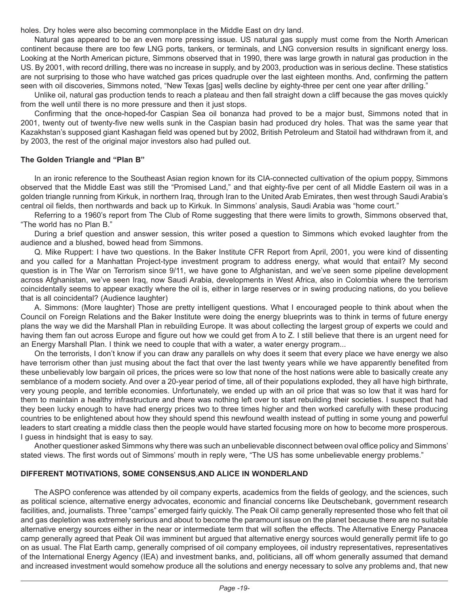holes. Dry holes were also becoming commonplace in the Middle East on dry land.

Natural gas appeared to be an even more pressing issue. US natural gas supply must come from the North American continent because there are too few LNG ports, tankers, or terminals, and LNG conversion results in significant energy loss. Looking at the North American picture, Simmons observed that in 1990, there was large growth in natural gas production in the US. By 2001, with record drilling, there was no increase in supply, and by 2003, production was in serious decline. These statistics are not surprising to those who have watched gas prices quadruple over the last eighteen months. And, confirming the pattern seen with oil discoveries, Simmons noted, "New Texas [gas] wells decline by eighty-three per cent one year after drilling."

Unlike oil, natural gas production tends to reach a plateau and then fall straight down a cliff because the gas moves quickly from the well until there is no more pressure and then it just stops.

Confirming that the once-hoped-for Caspian Sea oil bonanza had proved to be a major bust, Simmons noted that in 2001, twenty out of twenty-five new wells sunk in the Caspian basin had produced dry holes. That was the same year that Kazakhstan's supposed giant Kashagan field was opened but by 2002, British Petroleum and Statoil had withdrawn from it, and by 2003, the rest of the original major investors also had pulled out.

#### **The Golden Triangle and "Plan B"**

In an ironic reference to the Southeast Asian region known for its CIA-connected cultivation of the opium poppy, Simmons observed that the Middle East was still the "Promised Land," and that eighty-five per cent of all Middle Eastern oil was in a golden triangle running from Kirkuk, in northern Iraq, through Iran to the United Arab Emirates, then west through Saudi Arabia's central oil fields, then northwards and back up to Kirkuk. In Simmons' analysis, Saudi Arabia was "home court."

Referring to a 1960's report from The Club of Rome suggesting that there were limits to growth, Simmons observed that, "The world has no Plan B."

During a brief question and answer session, this writer posed a question to Simmons which evoked laughter from the audience and a blushed, bowed head from Simmons.

Q. Mike Ruppert: I have two questions. In the Baker Institute CFR Report from April, 2001, you were kind of dissenting and you called for a Manhattan Project-type investment program to address energy, what would that entail? My second question is in The War on Terrorism since 9/11, we have gone to Afghanistan, and we've seen some pipeline development across Afghanistan, we've seen Iraq, now Saudi Arabia, developments in West Africa, also in Colombia where the terrorism coincidentally seems to appear exactly where the oil is, either in large reserves or in swing producing nations, do you believe that is all coincidental? (Audience laughter)

A. Simmons: (More laughter) Those are pretty intelligent questions. What I encouraged people to think about when the Council on Foreign Relations and the Baker Institute were doing the energy blueprints was to think in terms of future energy plans the way we did the Marshall Plan in rebuilding Europe. It was about collecting the largest group of experts we could and having them fan out across Europe and figure out how we could get from A to Z. I still believe that there is an urgent need for an Energy Marshall Plan. I think we need to couple that with a water, a water energy program...

On the terrorists, I don't know if you can draw any parallels on why does it seem that every place we have energy we also have terrorism other than just musing about the fact that over the last twenty years while we have apparently benefited from these unbelievably low bargain oil prices, the prices were so low that none of the host nations were able to basically create any semblance of a modern society. And over a 20-year period of time, all of their populations exploded, they all have high birthrate, very young people, and terrible economies. Unfortunately, we ended up with an oil price that was so low that it was hard for them to maintain a healthy infrastructure and there was nothing left over to start rebuilding their societies. I suspect that had they been lucky enough to have had energy prices two to three times higher and then worked carefully with these producing countries to be enlightened about how they should spend this newfound wealth instead of putting in some young and powerful leaders to start creating a middle class then the people would have started focusing more on how to become more prosperous. I guess in hindsight that is easy to say.

Another questioner asked Simmons why there was such an unbelievable disconnect between oval office policy and Simmons' stated views. The first words out of Simmons' mouth in reply were, "The US has some unbelievable energy problems."

#### **DIFFERENT MOTIVATIONS, SOME CONSENSUS**,**AND ALICE IN WONDERLAND**

The ASPO conference was attended by oil company experts, academics from the fields of geology, and the sciences, such as political science, alternative energy advocates, economic and financial concerns like Deutschebank, government research facilities, and, journalists. Three "camps" emerged fairly quickly. The Peak Oil camp generally represented those who felt that oil and gas depletion was extremely serious and about to become the paramount issue on the planet because there are no suitable alternative energy sources either in the near or intermediate term that will soften the effects. The Alternative Energy Panacea camp generally agreed that Peak Oil was imminent but argued that alternative energy sources would generally permit life to go on as usual. The Flat Earth camp, generally comprised of oil company employees, oil industry representatives, representatives of the International Energy Agency (IEA) and investment banks, and, politicians, all off whom generally assumed that demand and increased investment would somehow produce all the solutions and energy necessary to solve any problems and, that new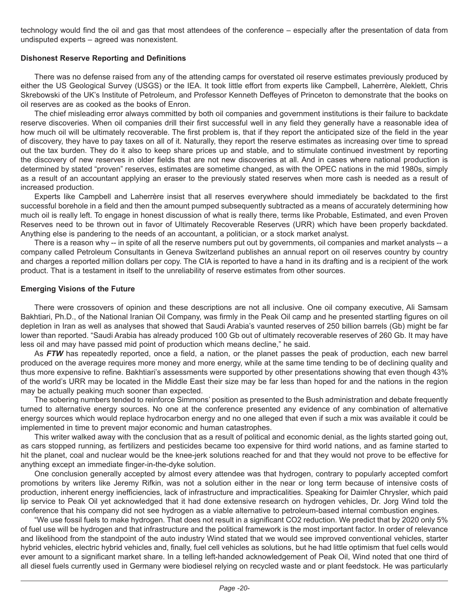technology would find the oil and gas that most attendees of the conference – especially after the presentation of data from undisputed experts – agreed was nonexistent.

#### **Dishonest Reserve Reporting and Definitions**

There was no defense raised from any of the attending camps for overstated oil reserve estimates previously produced by either the US Geological Survey (USGS) or the IEA. It took little effort from experts like Campbell, Laherrère, Aleklett, Chris Skrebowski of the UK's Institute of Petroleum, and Professor Kenneth Deffeyes of Princeton to demonstrate that the books on oil reserves are as cooked as the books of Enron.

The chief misleading error always committed by both oil companies and government institutions is their failure to backdate reserve discoveries. When oil companies drill their first successful well in any field they generally have a reasonable idea of how much oil will be ultimately recoverable. The first problem is, that if they report the anticipated size of the field in the year of discovery, they have to pay taxes on all of it. Naturally, they report the reserve estimates as increasing over time to spread out the tax burden. They do it also to keep share prices up and stable, and to stimulate continued investment by reporting the discovery of new reserves in older fields that are not new discoveries at all. And in cases where national production is determined by stated "proven" reserves, estimates are sometime changed, as with the OPEC nations in the mid 1980s, simply as a result of an accountant applying an eraser to the previously stated reserves when more cash is needed as a result of increased production.

Experts like Campbell and Laherrère insist that all reserves everywhere should immediately be backdated to the first successful borehole in a field and then the amount pumped subsequently subtracted as a means of accurately determining how much oil is really left. To engage in honest discussion of what is really there, terms like Probable, Estimated, and even Proven Reserves need to be thrown out in favor of Ultimately Recoverable Reserves (URR) which have been properly backdated. Anything else is pandering to the needs of an accountant, a politician, or a stock market analyst.

There is a reason why -- in spite of all the reserve numbers put out by governments, oil companies and market analysts -- a company called Petroleum Consultants in Geneva Switzerland publishes an annual report on oil reserves country by country and charges a reported million dollars per copy. The CIA is reported to have a hand in its drafting and is a recipient of the work product. That is a testament in itself to the unreliability of reserve estimates from other sources.

#### **Emerging Visions of the Future**

There were crossovers of opinion and these descriptions are not all inclusive. One oil company executive, Ali Samsam Bakhtiari, Ph.D., of the National Iranian Oil Company, was firmly in the Peak Oil camp and he presented startling figures on oil depletion in Iran as well as analyses that showed that Saudi Arabia's vaunted reserves of 250 billion barrels (Gb) might be far lower than reported. "Saudi Arabia has already produced 100 Gb out of ultimately recoverable reserves of 260 Gb. It may have less oil and may have passed mid point of production which means decline," he said.

As *FTW* has repeatedly reported, once a field, a nation, or the planet passes the peak of production, each new barrel produced on the average requires more money and more energy, while at the same time tending to be of declining quality and thus more expensive to refine. Bakhtiari's assessments were supported by other presentations showing that even though 43% of the world's URR may be located in the Middle East their size may be far less than hoped for and the nations in the region may be actually peaking much sooner than expected.

The sobering numbers tended to reinforce Simmons' position as presented to the Bush administration and debate frequently turned to alternative energy sources. No one at the conference presented any evidence of any combination of alternative energy sources which would replace hydrocarbon energy and no one alleged that even if such a mix was available it could be implemented in time to prevent major economic and human catastrophes.

This writer walked away with the conclusion that as a result of political and economic denial, as the lights started going out, as cars stopped running, as fertilizers and pesticides became too expensive for third world nations, and as famine started to hit the planet, coal and nuclear would be the knee-jerk solutions reached for and that they would not prove to be effective for anything except an immediate finger-in-the-dyke solution.

One conclusion generally accepted by almost every attendee was that hydrogen, contrary to popularly accepted comfort promotions by writers like Jeremy Rifkin, was not a solution either in the near or long term because of intensive costs of production, inherent energy inefficiencies, lack of infrastructure and impracticalities. Speaking for Daimler Chrysler, which paid lip service to Peak Oil yet acknowledged that it had done extensive research on hydrogen vehicles, Dr. Jorg Wind told the conference that his company did not see hydrogen as a viable alternative to petroleum-based internal combustion engines.

"We use fossil fuels to make hydrogen. That does not result in a significant CO2 reduction. We predict that by 2020 only 5% of fuel use will be hydrogen and that infrastructure and the political framework is the most important factor. In order of relevance and likelihood from the standpoint of the auto industry Wind stated that we would see improved conventional vehicles, starter hybrid vehicles, electric hybrid vehicles and, finally, fuel cell vehicles as solutions, but he had little optimism that fuel cells would ever amount to a significant market share. In a telling left-handed acknowledgement of Peak Oil, Wind noted that one third of all diesel fuels currently used in Germany were biodiesel relying on recycled waste and or plant feedstock. He was particularly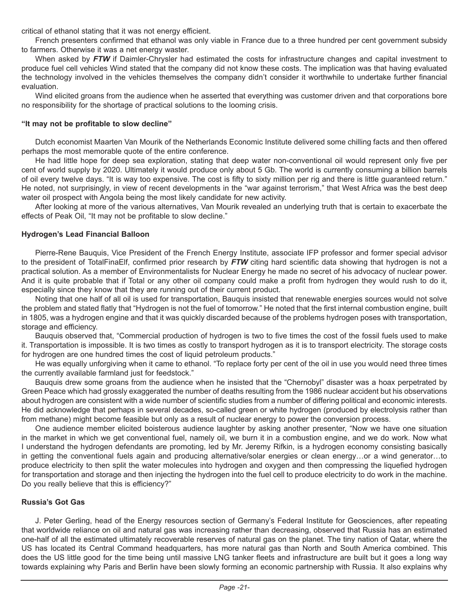critical of ethanol stating that it was not energy efficient.

French presenters confirmed that ethanol was only viable in France due to a three hundred per cent government subsidy to farmers. Otherwise it was a net energy waster.

When asked by FTW if Daimler-Chrysler had estimated the costs for infrastructure changes and capital investment to produce fuel cell vehicles Wind stated that the company did not know these costs. The implication was that having evaluated the technology involved in the vehicles themselves the company didn't consider it worthwhile to undertake further financial evaluation.

Wind elicited groans from the audience when he asserted that everything was customer driven and that corporations bore no responsibility for the shortage of practical solutions to the looming crisis.

#### **"It may not be profitable to slow decline"**

Dutch economist Maarten Van Mourik of the Netherlands Economic Institute delivered some chilling facts and then offered perhaps the most memorable quote of the entire conference.

He had little hope for deep sea exploration, stating that deep water non-conventional oil would represent only five per cent of world supply by 2020. Ultimately it would produce only about 5 Gb. The world is currently consuming a billion barrels of oil every twelve days. "It is way too expensive. The cost is fifty to sixty million per rig and there is little guaranteed return." He noted, not surprisingly, in view of recent developments in the "war against terrorism," that West Africa was the best deep water oil prospect with Angola being the most likely candidate for new activity.

After looking at more of the various alternatives, Van Mourik revealed an underlying truth that is certain to exacerbate the effects of Peak Oil, "It may not be profitable to slow decline."

#### **Hydrogen's Lead Financial Balloon**

Pierre-Rene Bauquis, Vice President of the French Energy Institute, associate IFP professor and former special advisor to the president of TotalFinaElf, confirmed prior research by *FTW* citing hard scientific data showing that hydrogen is not a practical solution. As a member of Environmentalists for Nuclear Energy he made no secret of his advocacy of nuclear power. And it is quite probable that if Total or any other oil company could make a profit from hydrogen they would rush to do it, especially since they know that they are running out of their current product.

Noting that one half of all oil is used for transportation, Bauquis insisted that renewable energies sources would not solve the problem and stated flatly that "Hydrogen is not the fuel of tomorrow." He noted that the first internal combustion engine, built in 1805, was a hydrogen engine and that it was quickly discarded because of the problems hydrogen poses with transportation, storage and efficiency.

Bauquis observed that, "Commercial production of hydrogen is two to five times the cost of the fossil fuels used to make it. Transportation is impossible. It is two times as costly to transport hydrogen as it is to transport electricity. The storage costs for hydrogen are one hundred times the cost of liquid petroleum products."

He was equally unforgiving when it came to ethanol. "To replace forty per cent of the oil in use you would need three times the currently available farmland just for feedstock."

Bauquis drew some groans from the audience when he insisted that the "Chernobyl" disaster was a hoax perpetrated by Green Peace which had grossly exaggerated the number of deaths resulting from the 1986 nuclear accident but his observations about hydrogen are consistent with a wide number of scientific studies from a number of differing political and economic interests. He did acknowledge that perhaps in several decades, so-called green or white hydrogen (produced by electrolysis rather than from methane) might become feasible but only as a result of nuclear energy to power the conversion process.

One audience member elicited boisterous audience laughter by asking another presenter, "Now we have one situation in the market in which we get conventional fuel, namely oil, we burn it in a combustion engine, and we do work. Now what I understand the hydrogen defendants are promoting, led by Mr. Jeremy Rifkin, is a hydrogen economy consisting basically in getting the conventional fuels again and producing alternative/solar energies or clean energy…or a wind generator…to produce electricity to then split the water molecules into hydrogen and oxygen and then compressing the liquefied hydrogen for transportation and storage and then injecting the hydrogen into the fuel cell to produce electricity to do work in the machine. Do you really believe that this is efficiency?"

#### **Russia's Got Gas**

J. Peter Gerling, head of the Energy resources section of Germany's Federal Institute for Geosciences, after repeating that worldwide reliance on oil and natural gas was increasing rather than decreasing, observed that Russia has an estimated one-half of all the estimated ultimately recoverable reserves of natural gas on the planet. The tiny nation of Qatar, where the US has located its Central Command headquarters, has more natural gas than North and South America combined. This does the US little good for the time being until massive LNG tanker fleets and infrastructure are built but it goes a long way towards explaining why Paris and Berlin have been slowly forming an economic partnership with Russia. It also explains why